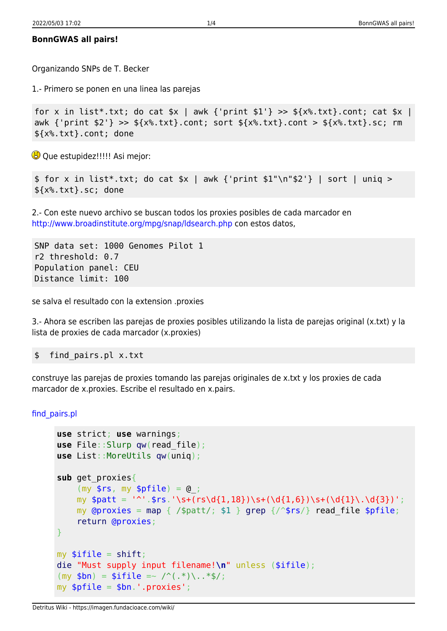## **BonnGWAS all pairs!**

Organizando SNPs de T. Becker

1.- Primero se ponen en una linea las parejas

```
for x in list*.txt; do cat *x | awk {'print 1'} >> (x^2, tx^2).cont; cat *x |
awk {'print $2'} >> ${x%.txt}.cont; sort ${x%.txt}.cont > ${x%.txt}.sc; rm
${x%.txt}.cont; done
```
**B** Que estupidez!!!!! Asi mejor:

```
$ for x in list*.txt; do cat $x \mid awk {'print $1" \n\in$2'} | sort | uniq >
${x%.txt}.sc; done
```
2.- Con este nuevo archivo se buscan todos los proxies posibles de cada marcador en <http://www.broadinstitute.org/mpg/snap/ldsearch.php>con estos datos,

SNP data set: 1000 Genomes Pilot 1 r2 threshold: 0.7 Population panel: CEU Distance limit: 100

se salva el resultado con la extension .proxies

3.- Ahora se escriben las parejas de proxies posibles utilizando la lista de parejas original (x.txt) y la lista de proxies de cada marcador (x.proxies)

\$ find\_pairs.pl x.txt

construye las parejas de proxies tomando las parejas originales de x.txt y los proxies de cada marcador de x.proxies. Escribe el resultado en x.pairs.

[find\\_pairs.pl](https://imagen.fundacioace.com/wiki/doku.php?do=export_code&id=genetica:bonngwas_all&codeblock=4)

```
use strict; use warnings;
use File::Slurp qw(read_file);
use List::MoreUtils qw(uniq);
sub get_proxies{
    (my $rs, my $pfile) = @;my $patt = '^'.$rs.'\s+(rs\ddot{1},18})\s+(d{1,6})\s+(d{1}\.\ddot{3})';my mapgrep { /$first'} for each of the $pfile; return @proxies;
}
myshift;
die "Must supply input filename!\n" unless ($ifile);
(my $bn) = $ifile = \sqrt{(x^*)}, x^*$/;my \phi file = \phihn.'.proxies';
```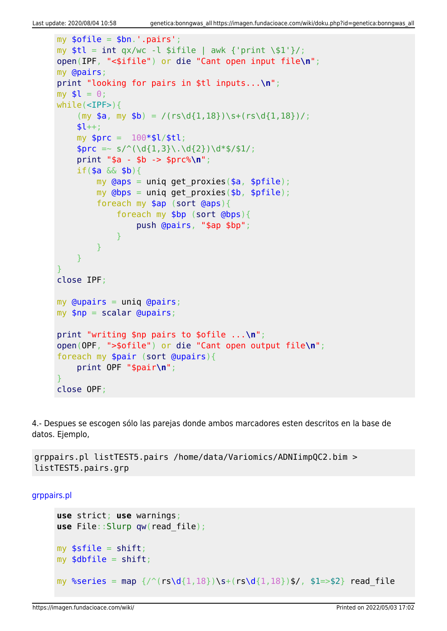```
mv sofile = sbn.'.pairs':
my int qx/wc - l sifile | awk {'print \s1'}}/;open(IPF, "<$ifile") or die "Cant open input file\n";
my @pairs;
print "looking for pairs in $tl inputs...\n";
my $l = 0;while(<IPF>){
    (my $a, my $b) = / (rs\ddot{1},18})\s + (rs\ddot{1},18))/;$l++; my $prc = 100*$l/$tl;
    $prc = ~ s/^(\d{1,3}\.\d{2})\d*$/$1/; print "$a - $b -> $prc%\n";
    if($a && $b){
        my @aps = uniq get proxies($a, $pfile);
        my @bps = unique get proxies({$b, $pfile)}; foreach my $ap (sort @aps){
             foreach my $bp (sort @bps){
                 push @pairs, "$ap $bp";
 }
         }
    }
}
close IPF;
my @upairs = uniq @pairs;
my scalar Qupairs;print "writing $np pairs to $ofile ...\n";
open(OPF, ">$ofile") or die "Cant open output file\n";
foreach my $pair (sort @upairs){
     print OPF "$pair\n";
}
close OPF;
```
4.- Despues se escogen sólo las parejas donde ambos marcadores esten descritos en la base de datos. Ejemplo,

grppairs.pl listTEST5.pairs /home/data/Variomics/ADNIimpQC2.bim > listTEST5.pairs.grp

[grppairs.pl](https://imagen.fundacioace.com/wiki/doku.php?do=export_code&id=genetica:bonngwas_all&codeblock=6)

```
use strict; use warnings;
use File::Slurp qw(read_file);
myshift;
mvshift;
map \s+ (rs\delta(1,18))\s/, $1=>$2} read file
```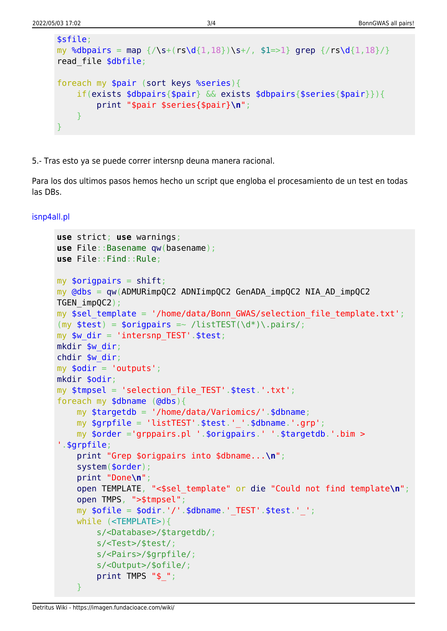```
$sfile;
map \{\sqrt{s}(1,18)\}\s+grep \{\sqrt{s}(1,18)\}read file $dbfile;
foreach my $pair (sort keys %series){
    if(exists $dbpairs{$pair} && exists $dbpairs{$series{$pair}}){
        print "$pair $series{$pair}\n";
    }
}
```
5.- Tras esto ya se puede correr intersnp deuna manera racional.

Para los dos ultimos pasos hemos hecho un script que engloba el procesamiento de un test en todas las DBs.

[isnp4all.pl](https://imagen.fundacioace.com/wiki/doku.php?do=export_code&id=genetica:bonngwas_all&codeblock=7)

```
use strict; use warnings;
use File::Basename qw(basename);
use File::Find::Rule;
myshift;
mv @dbs = qw(ADMURimpOC2 ADNIimpOC2 GenADA impOC2 NIA AD impOC2
TGEN_impQC2);
my $sel template = '/home/data/Bonn GWAS/selection file template.txt';
(my $test) = $origpairs =~ /listTEST(\d*)\.pairs/;
my sw dir = 'intersnp TEST'.$test;
mkdir $w_dir;
chdir $w_dir;
my \daggerodir = 'outputs';
mkdir $odir;
my $tmpsel = 'selection_file_TEST'.$test.'.txt';
foreach my $dbname (@dbs){
     my $targetdb = '/home/data/Variomics/'.$dbname;
     my $grpfile = 'listTEST'.$test.'_'.$dbname.'.grp';
     my $order ='grppairs.pl '.$origpairs.' '.$targetdb.'.bim >
'.$grpfile;
     print "Grep $origpairs into $dbname...\n";
     system($order);
     print "Done\n";
     open TEMPLATE, "<$sel_template" or die "Could not find template\n";
     open TMPS, ">$tmpsel";
    my \text{softile} = \text{Soft.'}/'.\text{6} domame.' TEST'. \text{stest.''};
     while (<TEMPLATE>){
         s/<Database>/$targetdb/;
         s/<Test>/$test/;
         s/<Pairs>/$grpfile/;
         s/<Output>/$ofile/;
        print TMPS "$ ";
     }
```